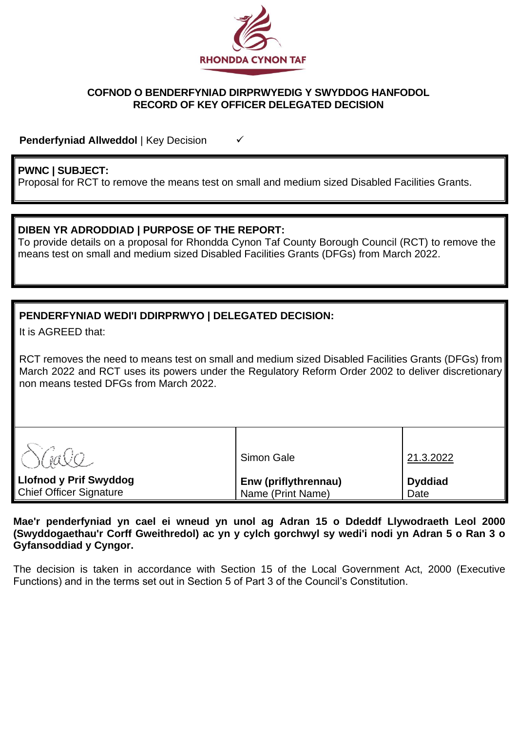

## **COFNOD O BENDERFYNIAD DIRPRWYEDIG Y SWYDDOG HANFODOL RECORD OF KEY OFFICER DELEGATED DECISION**

**Penderfyniad Allweddol** | Key Decision <del>✓</del>

# **PWNC | SUBJECT:**

Proposal for RCT to remove the means test on small and medium sized Disabled Facilities Grants.

## **DIBEN YR ADRODDIAD | PURPOSE OF THE REPORT:**

To provide details on a proposal for Rhondda Cynon Taf County Borough Council (RCT) to remove the means test on small and medium sized Disabled Facilities Grants (DFGs) from March 2022.

# **PENDERFYNIAD WEDI'I DDIRPRWYO | DELEGATED DECISION:**

It is AGREED that:

RCT removes the need to means test on small and medium sized Disabled Facilities Grants (DFGs) from March 2022 and RCT uses its powers under the Regulatory Reform Order 2002 to deliver discretionary non means tested DFGs from March 2022.

| $\sqrt{a}$                                               | Simon Gale                                | 21.3.2022              |
|----------------------------------------------------------|-------------------------------------------|------------------------|
| <b>Llofnod y Prif Swyddog</b><br>Chief Officer Signature | Enw (priflythrennau)<br>Name (Print Name) | <b>Dyddiad</b><br>Date |

**Mae'r penderfyniad yn cael ei wneud yn unol ag Adran 15 o Ddeddf Llywodraeth Leol 2000 (Swyddogaethau'r Corff Gweithredol) ac yn y cylch gorchwyl sy wedi'i nodi yn Adran 5 o Ran 3 o Gyfansoddiad y Cyngor.**

The decision is taken in accordance with Section 15 of the Local Government Act, 2000 (Executive Functions) and in the terms set out in Section 5 of Part 3 of the Council's Constitution.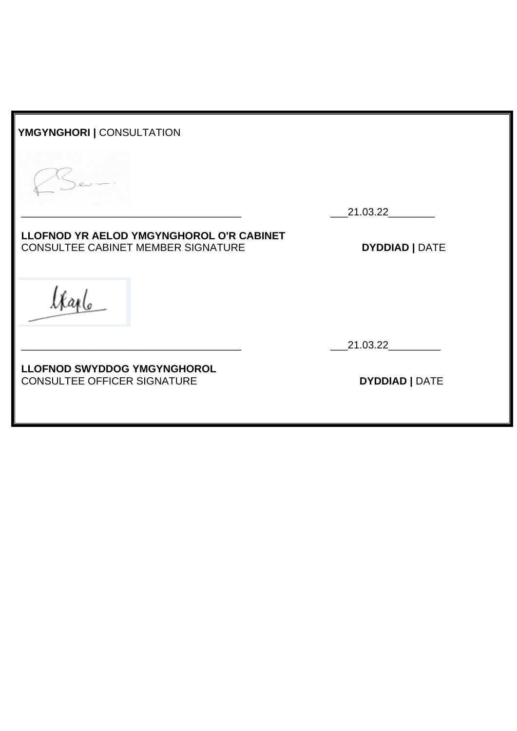| YMGYNGHORI   CONSULTATION                                                             |                       |
|---------------------------------------------------------------------------------------|-----------------------|
|                                                                                       |                       |
|                                                                                       | 21.03.22              |
| LLOFNOD YR AELOD YMGYNGHOROL O'R CABINET<br><b>CONSULTEE CABINET MEMBER SIGNATURE</b> | <b>DYDDIAD   DATE</b> |
|                                                                                       |                       |
|                                                                                       | 21.03.22              |
| <b>LLOFNOD SWYDDOG YMGYNGHOROL</b>                                                    |                       |

CONSULTEE OFFICER SIGNATURE **DYDDIAD |** DATE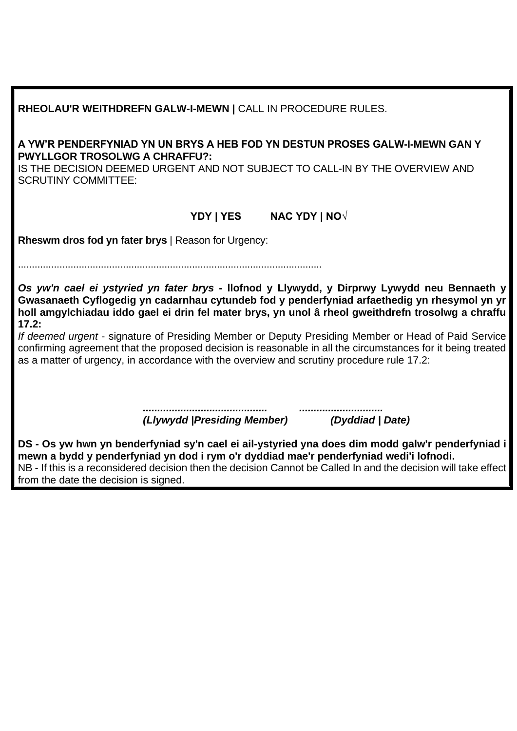| RHEOLAU'R WEITHDREFN GALW-I-MEWN   CALL IN PROCEDURE RULES.                                                                                                                                                                       |                                                                                                                                                                                                                                                                                                                                                                                                                                                                                                                         |  |  |  |
|-----------------------------------------------------------------------------------------------------------------------------------------------------------------------------------------------------------------------------------|-------------------------------------------------------------------------------------------------------------------------------------------------------------------------------------------------------------------------------------------------------------------------------------------------------------------------------------------------------------------------------------------------------------------------------------------------------------------------------------------------------------------------|--|--|--|
| A YW'R PENDERFYNIAD YN UN BRYS A HEB FOD YN DESTUN PROSES GALW-I-MEWN GAN Y<br><b>PWYLLGOR TROSOLWG A CHRAFFU?:</b><br>IS THE DECISION DEEMED URGENT AND NOT SUBJECT TO CALL-IN BY THE OVERVIEW AND<br><b>SCRUTINY COMMITTEE:</b> |                                                                                                                                                                                                                                                                                                                                                                                                                                                                                                                         |  |  |  |
| YDY   YES                                                                                                                                                                                                                         | <b>NAC YDY   NO√</b>                                                                                                                                                                                                                                                                                                                                                                                                                                                                                                    |  |  |  |
| <b>Rheswm dros fod yn fater brys</b>   Reason for Urgency:                                                                                                                                                                        |                                                                                                                                                                                                                                                                                                                                                                                                                                                                                                                         |  |  |  |
| 17.2:<br>as a matter of urgency, in accordance with the overview and scrutiny procedure rule 17.2:                                                                                                                                | Os yw'n cael ei ystyried yn fater brys - llofnod y Llywydd, y Dirprwy Lywydd neu Bennaeth y<br>Gwasanaeth Cyflogedig yn cadarnhau cytundeb fod y penderfyniad arfaethedig yn rhesymol yn yr<br>holl amgylchiadau iddo gael ei drin fel mater brys, yn unol â rheol gweithdrefn trosolwg a chraffu<br>If deemed urgent - signature of Presiding Member or Deputy Presiding Member or Head of Paid Service<br>confirming agreement that the proposed decision is reasonable in all the circumstances for it being treated |  |  |  |
| (Llywydd   Presiding Member)                                                                                                                                                                                                      | (Dyddiad   Date)                                                                                                                                                                                                                                                                                                                                                                                                                                                                                                        |  |  |  |
| mewn a bydd y penderfyniad yn dod i rym o'r dyddiad mae'r penderfyniad wedi'i lofnodi.<br>from the date the decision is signed.                                                                                                   | DS - Os yw hwn yn benderfyniad sy'n cael ei ail-ystyried yna does dim modd galw'r penderfyniad i<br>NB - If this is a reconsidered decision then the decision Cannot be Called In and the decision will take effect                                                                                                                                                                                                                                                                                                     |  |  |  |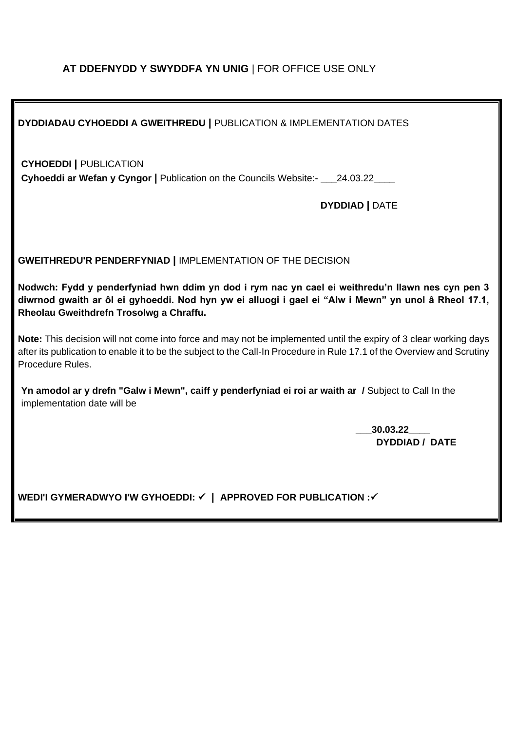# **AT DDEFNYDD Y SWYDDFA YN UNIG** | FOR OFFICE USE ONLY

| <b>DYDDIADAU CYHOEDDI A GWEITHREDU   PUBLICATION &amp; IMPLEMENTATION DATES</b>                                                                                                                                                                                 |  |  |  |
|-----------------------------------------------------------------------------------------------------------------------------------------------------------------------------------------------------------------------------------------------------------------|--|--|--|
| <b>CYHOEDDI   PUBLICATION</b><br>Cyhoeddi ar Wefan y Cyngor   Publication on the Councils Website:- ___24.03.22____<br><b>DYDDIAD   DATE</b>                                                                                                                    |  |  |  |
| <b>GWEITHREDU'R PENDERFYNIAD   IMPLEMENTATION OF THE DECISION</b>                                                                                                                                                                                               |  |  |  |
| Nodwch: Fydd y penderfyniad hwn ddim yn dod i rym nac yn cael ei weithredu'n llawn nes cyn pen 3<br>diwrnod gwaith ar ôl ei gyhoeddi. Nod hyn yw ei alluogi i gael ei "Alw i Mewn" yn unol â Rheol 17.1,<br>Rheolau Gweithdrefn Trosolwg a Chraffu.             |  |  |  |
| Note: This decision will not come into force and may not be implemented until the expiry of 3 clear working days<br>after its publication to enable it to be the subject to the Call-In Procedure in Rule 17.1 of the Overview and Scrutiny<br>Procedure Rules. |  |  |  |
| Yn amodol ar y drefn "Galw i Mewn", caiff y penderfyniad ei roi ar waith ar / Subject to Call In the<br>implementation date will be                                                                                                                             |  |  |  |
| 30.03.22<br><b>DYDDIAD / DATE</b>                                                                                                                                                                                                                               |  |  |  |
| WEDI'I GYMERADWYO I'W GYHOEDDI: √   APPROVED FOR PUBLICATION : √                                                                                                                                                                                                |  |  |  |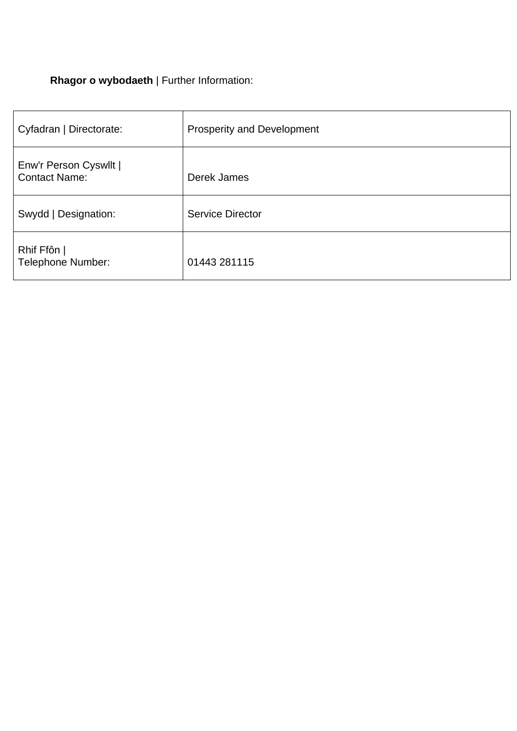# **Rhagor o wybodaeth** | Further Information:

| Cyfadran   Directorate:                        | <b>Prosperity and Development</b> |
|------------------------------------------------|-----------------------------------|
| Enw'r Person Cyswllt  <br><b>Contact Name:</b> | Derek James                       |
| Swydd   Designation:                           | <b>Service Director</b>           |
| Rhif Ffôn  <br><b>Telephone Number:</b>        | 01443 281115                      |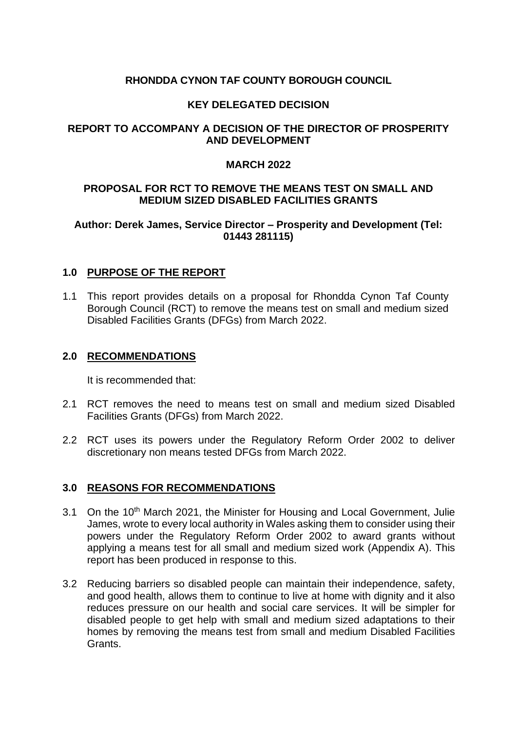## **RHONDDA CYNON TAF COUNTY BOROUGH COUNCIL**

## **KEY DELEGATED DECISION**

## **REPORT TO ACCOMPANY A DECISION OF THE DIRECTOR OF PROSPERITY AND DEVELOPMENT**

#### **MARCH 2022**

## **PROPOSAL FOR RCT TO REMOVE THE MEANS TEST ON SMALL AND MEDIUM SIZED DISABLED FACILITIES GRANTS**

## **Author: Derek James, Service Director – Prosperity and Development (Tel: 01443 281115)**

#### **1.0 PURPOSE OF THE REPORT**

1.1 This report provides details on a proposal for Rhondda Cynon Taf County Borough Council (RCT) to remove the means test on small and medium sized Disabled Facilities Grants (DFGs) from March 2022.

#### **2.0 RECOMMENDATIONS**

It is recommended that:

- 2.1 RCT removes the need to means test on small and medium sized Disabled Facilities Grants (DFGs) from March 2022.
- 2.2 RCT uses its powers under the Regulatory Reform Order 2002 to deliver discretionary non means tested DFGs from March 2022.

#### **3.0 REASONS FOR RECOMMENDATIONS**

- 3.1 On the 10<sup>th</sup> March 2021, the Minister for Housing and Local Government, Julie James, wrote to every local authority in Wales asking them to consider using their powers under the Regulatory Reform Order 2002 to award grants without applying a means test for all small and medium sized work (Appendix A). This report has been produced in response to this.
- 3.2 Reducing barriers so disabled people can maintain their independence, safety, and good health, allows them to continue to live at home with dignity and it also reduces pressure on our health and social care services. It will be simpler for disabled people to get help with small and medium sized adaptations to their homes by removing the means test from small and medium Disabled Facilities **Grants**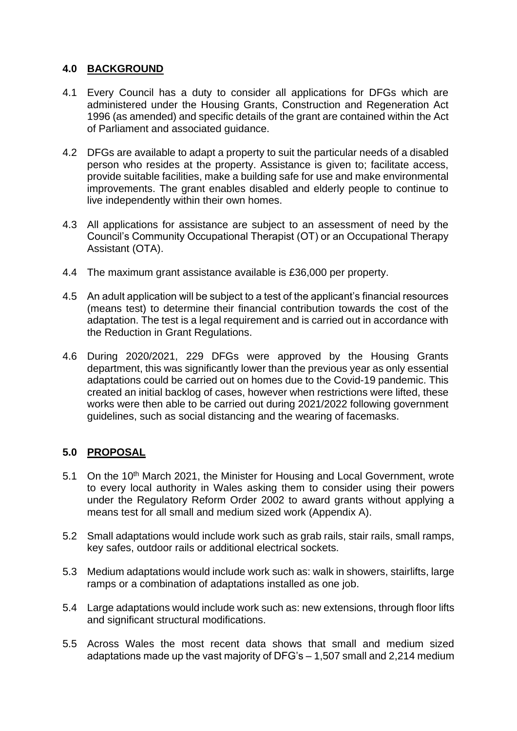# **4.0 BACKGROUND**

- 4.1 Every Council has a duty to consider all applications for DFGs which are administered under the Housing Grants, Construction and Regeneration Act 1996 (as amended) and specific details of the grant are contained within the Act of Parliament and associated guidance.
- 4.2 DFGs are available to adapt a property to suit the particular needs of a disabled person who resides at the property. Assistance is given to; facilitate access, provide suitable facilities, make a building safe for use and make environmental improvements. The grant enables disabled and elderly people to continue to live independently within their own homes.
- 4.3 All applications for assistance are subject to an assessment of need by the Council's Community Occupational Therapist (OT) or an Occupational Therapy Assistant (OTA).
- 4.4 The maximum grant assistance available is £36,000 per property.
- 4.5 An adult application will be subject to a test of the applicant's financial resources (means test) to determine their financial contribution towards the cost of the adaptation. The test is a legal requirement and is carried out in accordance with the Reduction in Grant Regulations.
- 4.6 During 2020/2021, 229 DFGs were approved by the Housing Grants department, this was significantly lower than the previous year as only essential adaptations could be carried out on homes due to the Covid-19 pandemic. This created an initial backlog of cases, however when restrictions were lifted, these works were then able to be carried out during 2021/2022 following government guidelines, such as social distancing and the wearing of facemasks.

# **5.0 PROPOSAL**

- 5.1 On the 10<sup>th</sup> March 2021, the Minister for Housing and Local Government, wrote to every local authority in Wales asking them to consider using their powers under the Regulatory Reform Order 2002 to award grants without applying a means test for all small and medium sized work (Appendix A).
- 5.2 Small adaptations would include work such as grab rails, stair rails, small ramps, key safes, outdoor rails or additional electrical sockets.
- 5.3 Medium adaptations would include work such as: walk in showers, stairlifts, large ramps or a combination of adaptations installed as one job.
- 5.4 Large adaptations would include work such as: new extensions, through floor lifts and significant structural modifications.
- 5.5 Across Wales the most recent data shows that small and medium sized adaptations made up the vast majority of DFG's – 1,507 small and 2,214 medium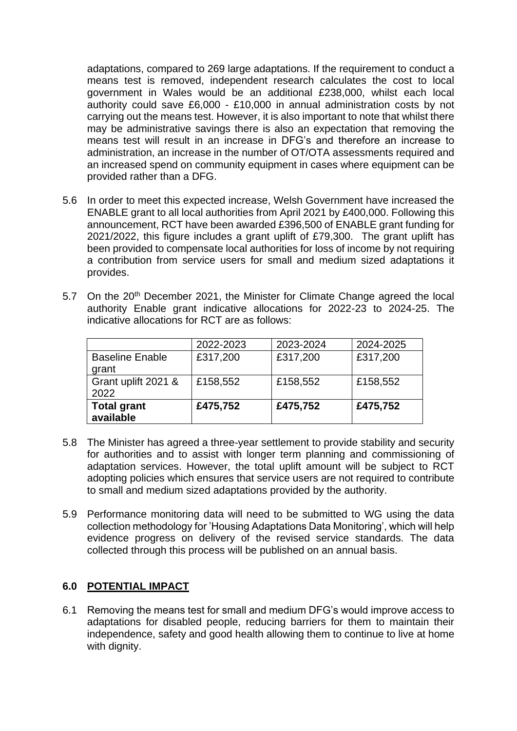adaptations, compared to 269 large adaptations. If the requirement to conduct a means test is removed, independent research calculates the cost to local government in Wales would be an additional £238,000, whilst each local authority could save £6,000 - £10,000 in annual administration costs by not carrying out the means test. However, it is also important to note that whilst there may be administrative savings there is also an expectation that removing the means test will result in an increase in DFG's and therefore an increase to administration, an increase in the number of OT/OTA assessments required and an increased spend on community equipment in cases where equipment can be provided rather than a DFG.

- 5.6 In order to meet this expected increase, Welsh Government have increased the ENABLE grant to all local authorities from April 2021 by £400,000. Following this announcement, RCT have been awarded £396,500 of ENABLE grant funding for 2021/2022, this figure includes a grant uplift of £79,300. The grant uplift has been provided to compensate local authorities for loss of income by not requiring a contribution from service users for small and medium sized adaptations it provides.
- 5.7 On the 20<sup>th</sup> December 2021, the Minister for Climate Change agreed the local authority Enable grant indicative allocations for 2022-23 to 2024-25. The indicative allocations for RCT are as follows:

|                        | 2022-2023 | 2023-2024 | 2024-2025 |
|------------------------|-----------|-----------|-----------|
| <b>Baseline Enable</b> | £317,200  | £317,200  | £317,200  |
| grant                  |           |           |           |
| Grant uplift 2021 &    | £158,552  | £158,552  | £158,552  |
| 2022                   |           |           |           |
| <b>Total grant</b>     | £475,752  | £475,752  | £475,752  |
| available              |           |           |           |

- 5.8 The Minister has agreed a three-year settlement to provide stability and security for authorities and to assist with longer term planning and commissioning of adaptation services. However, the total uplift amount will be subject to RCT adopting policies which ensures that service users are not required to contribute to small and medium sized adaptations provided by the authority.
- 5.9 Performance monitoring data will need to be submitted to WG using the data collection methodology for 'Housing Adaptations Data Monitoring', which will help evidence progress on delivery of the revised service standards. The data collected through this process will be published on an annual basis.

### **6.0 POTENTIAL IMPACT**

6.1 Removing the means test for small and medium DFG's would improve access to adaptations for disabled people, reducing barriers for them to maintain their independence, safety and good health allowing them to continue to live at home with dignity.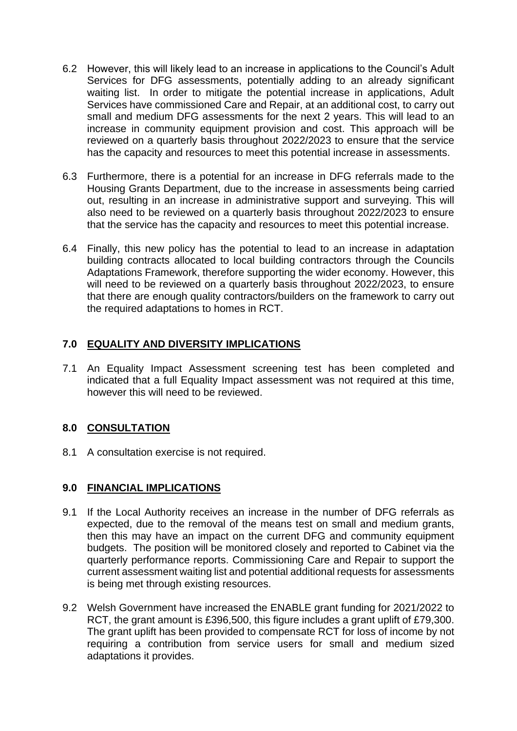- 6.2 However, this will likely lead to an increase in applications to the Council's Adult Services for DFG assessments, potentially adding to an already significant waiting list. In order to mitigate the potential increase in applications, Adult Services have commissioned Care and Repair, at an additional cost, to carry out small and medium DFG assessments for the next 2 years. This will lead to an increase in community equipment provision and cost. This approach will be reviewed on a quarterly basis throughout 2022/2023 to ensure that the service has the capacity and resources to meet this potential increase in assessments.
- 6.3 Furthermore, there is a potential for an increase in DFG referrals made to the Housing Grants Department, due to the increase in assessments being carried out, resulting in an increase in administrative support and surveying. This will also need to be reviewed on a quarterly basis throughout 2022/2023 to ensure that the service has the capacity and resources to meet this potential increase.
- 6.4 Finally, this new policy has the potential to lead to an increase in adaptation building contracts allocated to local building contractors through the Councils Adaptations Framework, therefore supporting the wider economy. However, this will need to be reviewed on a quarterly basis throughout 2022/2023, to ensure that there are enough quality contractors/builders on the framework to carry out the required adaptations to homes in RCT.

# **7.0 EQUALITY AND DIVERSITY IMPLICATIONS**

7.1 An Equality Impact Assessment screening test has been completed and indicated that a full Equality Impact assessment was not required at this time, however this will need to be reviewed.

# **8.0 CONSULTATION**

8.1 A consultation exercise is not required.

# **9.0 FINANCIAL IMPLICATIONS**

- 9.1 If the Local Authority receives an increase in the number of DFG referrals as expected, due to the removal of the means test on small and medium grants, then this may have an impact on the current DFG and community equipment budgets. The position will be monitored closely and reported to Cabinet via the quarterly performance reports. Commissioning Care and Repair to support the current assessment waiting list and potential additional requests for assessments is being met through existing resources.
- 9.2 Welsh Government have increased the ENABLE grant funding for 2021/2022 to RCT, the grant amount is £396,500, this figure includes a grant uplift of £79,300. The grant uplift has been provided to compensate RCT for loss of income by not requiring a contribution from service users for small and medium sized adaptations it provides.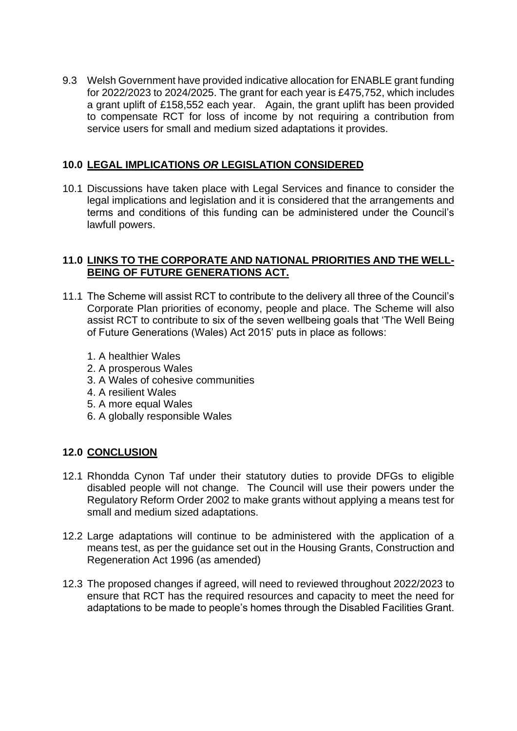9.3 Welsh Government have provided indicative allocation for ENABLE grant funding for 2022/2023 to 2024/2025. The grant for each year is £475,752, which includes a grant uplift of £158,552 each year. Again, the grant uplift has been provided to compensate RCT for loss of income by not requiring a contribution from service users for small and medium sized adaptations it provides.

## **10.0 LEGAL IMPLICATIONS** *OR* **LEGISLATION CONSIDERED**

10.1 Discussions have taken place with Legal Services and finance to consider the legal implications and legislation and it is considered that the arrangements and terms and conditions of this funding can be administered under the Council's lawfull powers.

## **11.0 LINKS TO THE CORPORATE AND NATIONAL PRIORITIES AND THE WELL-BEING OF FUTURE GENERATIONS ACT.**

- 11.1 The Scheme will assist RCT to contribute to the delivery all three of the Council's Corporate Plan priorities of economy, people and place. The Scheme will also assist RCT to contribute to six of the seven wellbeing goals that 'The Well Being of Future Generations (Wales) Act 2015' puts in place as follows:
	- 1. A healthier Wales
	- 2. A prosperous Wales
	- 3. A Wales of cohesive communities
	- 4. A resilient Wales
	- 5. A more equal Wales
	- 6. A globally responsible Wales

# **12.0 CONCLUSION**

- 12.1 Rhondda Cynon Taf under their statutory duties to provide DFGs to eligible disabled people will not change. The Council will use their powers under the Regulatory Reform Order 2002 to make grants without applying a means test for small and medium sized adaptations.
- 12.2 Large adaptations will continue to be administered with the application of a means test, as per the guidance set out in the Housing Grants, Construction and Regeneration Act 1996 (as amended)
- 12.3 The proposed changes if agreed, will need to reviewed throughout 2022/2023 to ensure that RCT has the required resources and capacity to meet the need for adaptations to be made to people's homes through the Disabled Facilities Grant.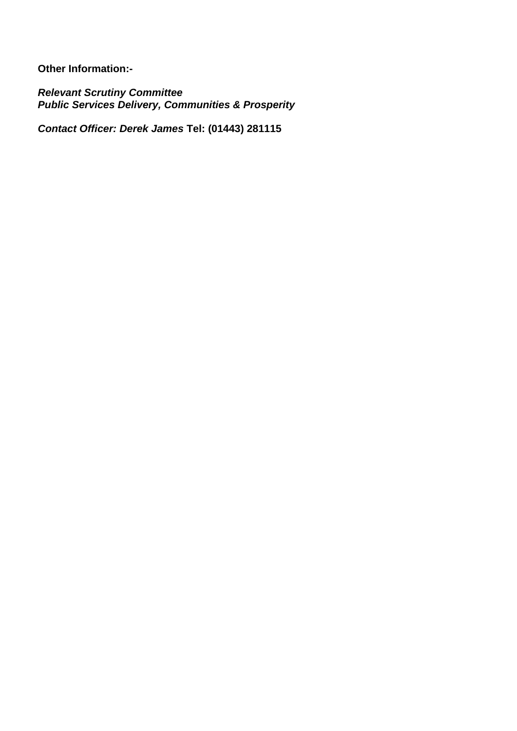**Other Information:-**

*Relevant Scrutiny Committee Public Services Delivery, Communities & Prosperity*

*Contact Officer: Derek James* **Tel: (01443) 281115**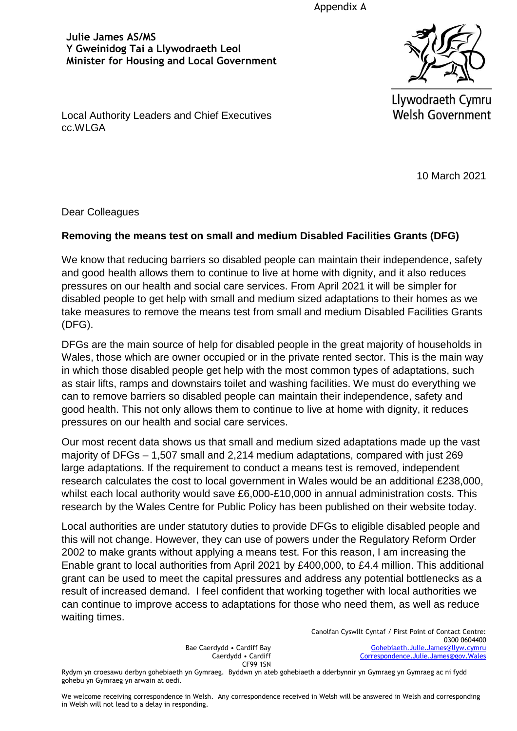Appendix A

**Julie James AS/MS Y Gweinidog Tai a Llywodraeth Leol Minister for Housing and Local Government** 



Llywodraeth Cymru **Welsh Government** 

Local Authority Leaders and Chief Executives cc.WLGA

10 March 2021

Dear Colleagues

## **Removing the means test on small and medium Disabled Facilities Grants (DFG)**

We know that reducing barriers so disabled people can maintain their independence, safety and good health allows them to continue to live at home with dignity, and it also reduces pressures on our health and social care services. From April 2021 it will be simpler for disabled people to get help with small and medium sized adaptations to their homes as we take measures to remove the means test from small and medium Disabled Facilities Grants (DFG).

DFGs are the main source of help for disabled people in the great majority of households in Wales, those which are owner occupied or in the private rented sector. This is the main way in which those disabled people get help with the most common types of adaptations, such as stair lifts, ramps and downstairs toilet and washing facilities. We must do everything we can to remove barriers so disabled people can maintain their independence, safety and good health. This not only allows them to continue to live at home with dignity, it reduces pressures on our health and social care services.

Our most recent data shows us that small and medium sized adaptations made up the vast majority of DFGs – 1,507 small and 2,214 medium adaptations, compared with just 269 large adaptations. If the requirement to conduct a means test is removed, independent research calculates the cost to local government in Wales would be an additional £238,000, whilst each local authority would save £6,000-£10,000 in annual administration costs. This research by the Wales Centre for Public Policy has been published on their website today.

Local authorities are under statutory duties to provide DFGs to eligible disabled people and this will not change. However, they can use of powers under the Regulatory Reform Order 2002 to make grants without applying a means test. For this reason, I am increasing the Enable grant to local authorities from April 2021 by £400,000, to £4.4 million. This additional grant can be used to meet the capital pressures and address any potential bottlenecks as a result of increased demand. I feel confident that working together with local authorities we can continue to improve access to adaptations for those who need them, as well as reduce waiting times.

> Bae Caerdydd • Cardiff Bay Caerdydd • Cardiff CF99 1SN

Canolfan Cyswllt Cyntaf / First Point of Contact Centre: 0300 0604400 [Gohebiaeth.Julie.James@llyw.cymru](mailto:Gohebiaeth.Julie.James@llyw.cymru) [Correspondence.Julie.James@gov.Wales](mailto:Correspondence.Julie.James@gov.Wales)

Rydym yn croesawu derbyn gohebiaeth yn Gymraeg. Byddwn yn ateb gohebiaeth a dderbynnir yn Gymraeg yn Gymraeg ac ni fydd gohebu yn Gymraeg yn arwain at oedi.

We welcome receiving correspondence in Welsh. Any correspondence received in Welsh will be answered in Welsh and corresponding in Welsh will not lead to a delay in responding.